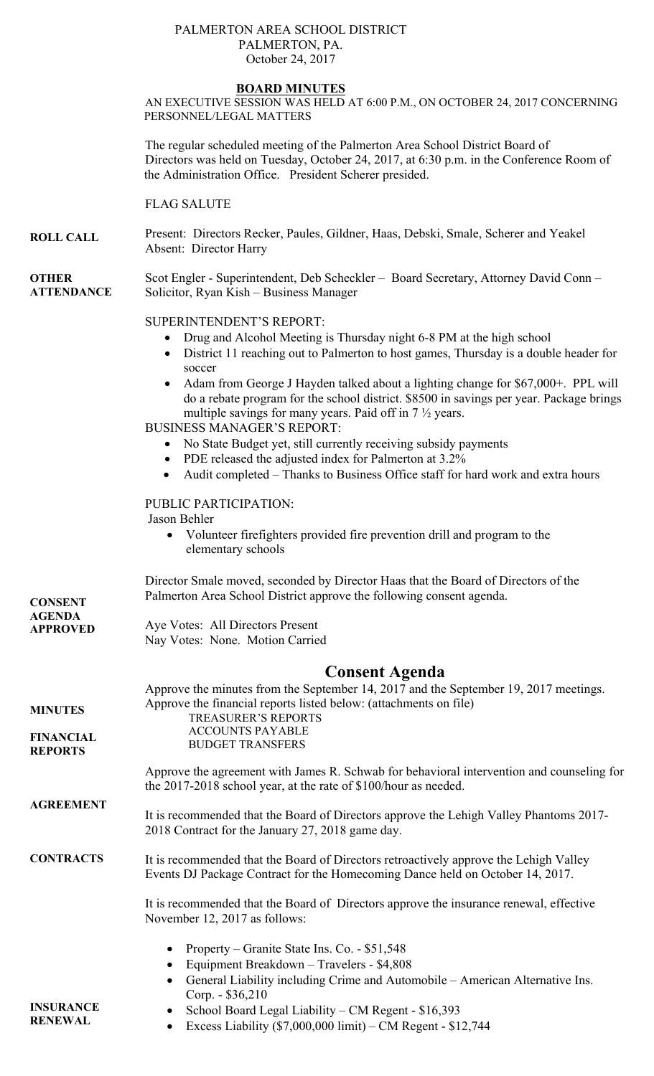### PALMERTON AREA SCHOOL DISTRICT PALMERTON, PA. October 24, 2017

### **BOARD MINUTES**

AN EXECUTIVE SESSION WAS HELD AT 6:00 P.M., ON OCTOBER 24, 2017 CONCERNING PERSONNEL/LEGAL MATTERS

The regular scheduled meeting of the Palmerton Area School District Board of Directors was held on Tuesday, October 24, 2017, at 6:30 p.m. in the Conference Room of the Administration Office. President Scherer presided.

FLAG SALUTE

**ROLL CALL**  Present: Directors Recker, Paules, Gildner, Haas, Debski, Smale, Scherer and Yeakel Absent: Director Harry

**OTHER ATTENDANCE**  Scot Engler - Superintendent, Deb Scheckler – Board Secretary, Attorney David Conn – Solicitor, Ryan Kish – Business Manager

### SUPERINTENDENT'S REPORT:

- Drug and Alcohol Meeting is Thursday night 6-8 PM at the high school
- District 11 reaching out to Palmerton to host games, Thursday is a double header for soccer
- Adam from George J Hayden talked about a lighting change for \$67,000+. PPL will do a rebate program for the school district. \$8500 in savings per year. Package brings multiple savings for many years. Paid off in 7 ½ years.

BUSINESS MANAGER'S REPORT:

- No State Budget yet, still currently receiving subsidy payments
	- PDE released the adjusted index for Palmerton at 3.2%
	- Audit completed Thanks to Business Office staff for hard work and extra hours

## PUBLIC PARTICIPATION:

#### Jason Behler

 Volunteer firefighters provided fire prevention drill and program to the elementary schools

**CONSENT AGENDA APPROVED**  Director Smale moved, seconded by Director Haas that the Board of Directors of the Palmerton Area School District approve the following consent agenda. Aye Votes: All Directors Present Nay Votes: None. Motion Carried **Consent Agenda** 

| <b>MINUTES</b>                     | Approve the minutes from the September 14, 2017 and the September 19, 2017 meetings.<br>Approve the financial reports listed below: (attachments on file)<br><b>TREASURER'S REPORTS</b>                 |  |  |
|------------------------------------|---------------------------------------------------------------------------------------------------------------------------------------------------------------------------------------------------------|--|--|
| <b>FINANCIAL</b><br><b>REPORTS</b> | <b>ACCOUNTS PAYABLE</b><br><b>BUDGET TRANSFERS</b>                                                                                                                                                      |  |  |
|                                    | Approve the agreement with James R. Schwab for behavioral intervention and counseling for<br>the 2017-2018 school year, at the rate of \$100/hour as needed.                                            |  |  |
| <b>AGREEMENT</b>                   | It is recommended that the Board of Directors approve the Lehigh Valley Phantoms 2017-<br>2018 Contract for the January 27, 2018 game day.                                                              |  |  |
| <b>CONTRACTS</b>                   | It is recommended that the Board of Directors retroactively approve the Lehigh Valley<br>Events DJ Package Contract for the Homecoming Dance held on October 14, 2017.                                  |  |  |
|                                    | It is recommended that the Board of Directors approve the insurance renewal, effective<br>November 12, 2017 as follows:                                                                                 |  |  |
|                                    | Property – Granite State Ins. Co. - \$51,548<br>Equipment Breakdown - Travelers - \$4,808<br>٠<br>General Liability including Crime and Automobile – American Alternative Ins.<br>٠<br>Corp. - \$36,210 |  |  |
| <b>INSURANCE</b><br><b>RENEWAL</b> | School Board Legal Liability – CM Regent - \$16,393<br>$\bullet$<br>Excess Liability $(\$7,000,000$ limit) – CM Regent - $\$12,744$                                                                     |  |  |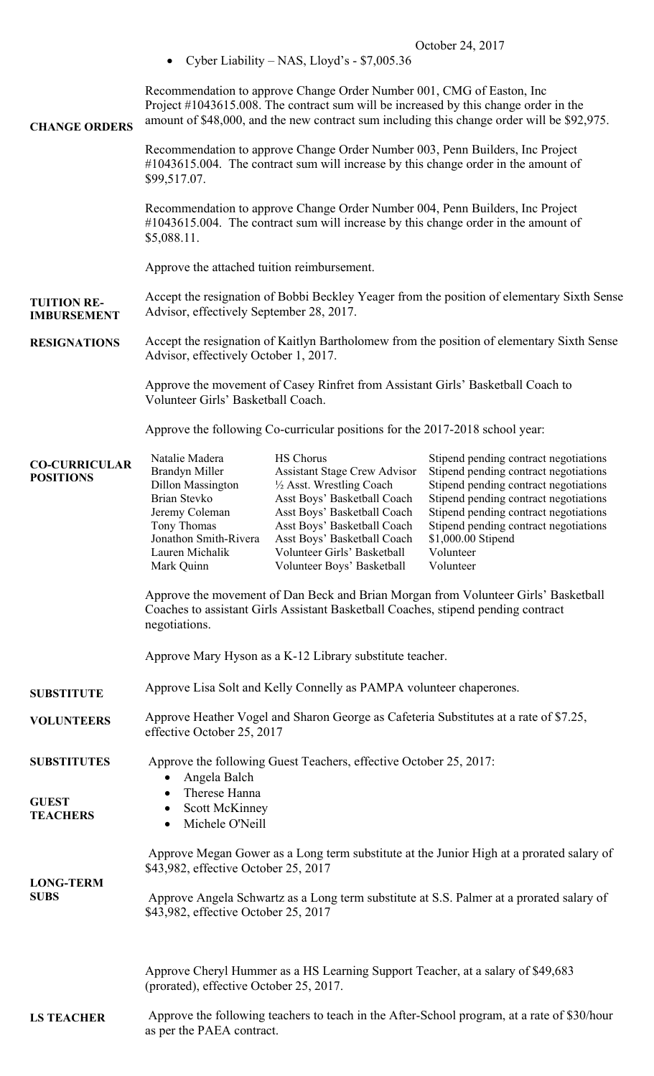|                                                                                                                                                                                    |                                                                                                                                                                                                                                                             | Cyber Liability – NAS, Lloyd's - $$7,005.36$                                                                                                                                                                                                                                  |                                                                                                                                                                                                                                                                                                    |  |  |
|------------------------------------------------------------------------------------------------------------------------------------------------------------------------------------|-------------------------------------------------------------------------------------------------------------------------------------------------------------------------------------------------------------------------------------------------------------|-------------------------------------------------------------------------------------------------------------------------------------------------------------------------------------------------------------------------------------------------------------------------------|----------------------------------------------------------------------------------------------------------------------------------------------------------------------------------------------------------------------------------------------------------------------------------------------------|--|--|
| <b>CHANGE ORDERS</b>                                                                                                                                                               | Recommendation to approve Change Order Number 001, CMG of Easton, Inc<br>Project #1043615.008. The contract sum will be increased by this change order in the<br>amount of \$48,000, and the new contract sum including this change order will be \$92,975. |                                                                                                                                                                                                                                                                               |                                                                                                                                                                                                                                                                                                    |  |  |
|                                                                                                                                                                                    | Recommendation to approve Change Order Number 003, Penn Builders, Inc Project<br>#1043615.004. The contract sum will increase by this change order in the amount of<br>\$99,517.07.                                                                         |                                                                                                                                                                                                                                                                               |                                                                                                                                                                                                                                                                                                    |  |  |
|                                                                                                                                                                                    | \$5,088.11.                                                                                                                                                                                                                                                 |                                                                                                                                                                                                                                                                               | Recommendation to approve Change Order Number 004, Penn Builders, Inc Project<br>#1043615.004. The contract sum will increase by this change order in the amount of                                                                                                                                |  |  |
|                                                                                                                                                                                    | Approve the attached tuition reimbursement.                                                                                                                                                                                                                 |                                                                                                                                                                                                                                                                               |                                                                                                                                                                                                                                                                                                    |  |  |
| Accept the resignation of Bobbi Beckley Yeager from the position of elementary Sixth Sense<br><b>TUITION RE-</b><br>Advisor, effectively September 28, 2017.<br><b>IMBURSEMENT</b> |                                                                                                                                                                                                                                                             |                                                                                                                                                                                                                                                                               |                                                                                                                                                                                                                                                                                                    |  |  |
| <b>RESIGNATIONS</b>                                                                                                                                                                | Accept the resignation of Kaitlyn Bartholomew from the position of elementary Sixth Sense<br>Advisor, effectively October 1, 2017.                                                                                                                          |                                                                                                                                                                                                                                                                               |                                                                                                                                                                                                                                                                                                    |  |  |
|                                                                                                                                                                                    | Approve the movement of Casey Rinfret from Assistant Girls' Basketball Coach to<br>Volunteer Girls' Basketball Coach.                                                                                                                                       |                                                                                                                                                                                                                                                                               |                                                                                                                                                                                                                                                                                                    |  |  |
|                                                                                                                                                                                    | Approve the following Co-curricular positions for the 2017-2018 school year:                                                                                                                                                                                |                                                                                                                                                                                                                                                                               |                                                                                                                                                                                                                                                                                                    |  |  |
| <b>CO-CURRICULAR</b><br><b>POSITIONS</b>                                                                                                                                           | Natalie Madera<br><b>Brandyn Miller</b><br>Dillon Massington<br>Brian Stevko<br>Jeremy Coleman<br>Tony Thomas<br>Jonathon Smith-Rivera<br>Lauren Michalik<br>Mark Quinn                                                                                     | <b>HS Chorus</b><br><b>Assistant Stage Crew Advisor</b><br>1/2 Asst. Wrestling Coach<br>Asst Boys' Basketball Coach<br>Asst Boys' Basketball Coach<br>Asst Boys' Basketball Coach<br>Asst Boys' Basketball Coach<br>Volunteer Girls' Basketball<br>Volunteer Boys' Basketball | Stipend pending contract negotiations<br>Stipend pending contract negotiations<br>Stipend pending contract negotiations<br>Stipend pending contract negotiations<br>Stipend pending contract negotiations<br>Stipend pending contract negotiations<br>\$1,000.00 Stipend<br>Volunteer<br>Volunteer |  |  |
|                                                                                                                                                                                    | negotiations.                                                                                                                                                                                                                                               | Coaches to assistant Girls Assistant Basketball Coaches, stipend pending contract                                                                                                                                                                                             | Approve the movement of Dan Beck and Brian Morgan from Volunteer Girls' Basketball                                                                                                                                                                                                                 |  |  |
|                                                                                                                                                                                    | Approve Mary Hyson as a K-12 Library substitute teacher.                                                                                                                                                                                                    |                                                                                                                                                                                                                                                                               |                                                                                                                                                                                                                                                                                                    |  |  |
| <b>SUBSTITUTE</b>                                                                                                                                                                  | Approve Lisa Solt and Kelly Connelly as PAMPA volunteer chaperones.                                                                                                                                                                                         |                                                                                                                                                                                                                                                                               |                                                                                                                                                                                                                                                                                                    |  |  |
| <b>VOLUNTEERS</b>                                                                                                                                                                  | Approve Heather Vogel and Sharon George as Cafeteria Substitutes at a rate of \$7.25,<br>effective October 25, 2017                                                                                                                                         |                                                                                                                                                                                                                                                                               |                                                                                                                                                                                                                                                                                                    |  |  |
| <b>SUBSTITUTES</b>                                                                                                                                                                 | Approve the following Guest Teachers, effective October 25, 2017:<br>Angela Balch                                                                                                                                                                           |                                                                                                                                                                                                                                                                               |                                                                                                                                                                                                                                                                                                    |  |  |
| <b>GUEST</b><br><b>TEACHERS</b>                                                                                                                                                    | Therese Hanna<br>٠<br>Scott McKinney<br>Michele O'Neill<br>$\bullet$                                                                                                                                                                                        |                                                                                                                                                                                                                                                                               |                                                                                                                                                                                                                                                                                                    |  |  |
| <b>LONG-TERM</b>                                                                                                                                                                   | \$43,982, effective October 25, 2017                                                                                                                                                                                                                        |                                                                                                                                                                                                                                                                               | Approve Megan Gower as a Long term substitute at the Junior High at a prorated salary of                                                                                                                                                                                                           |  |  |
| <b>SUBS</b>                                                                                                                                                                        | \$43,982, effective October 25, 2017                                                                                                                                                                                                                        |                                                                                                                                                                                                                                                                               | Approve Angela Schwartz as a Long term substitute at S.S. Palmer at a prorated salary of                                                                                                                                                                                                           |  |  |
|                                                                                                                                                                                    | (prorated), effective October 25, 2017.                                                                                                                                                                                                                     | Approve Cheryl Hummer as a HS Learning Support Teacher, at a salary of \$49,683                                                                                                                                                                                               |                                                                                                                                                                                                                                                                                                    |  |  |
| <b>LS TEACHER</b>                                                                                                                                                                  | Approve the following teachers to teach in the After-School program, at a rate of \$30/hour<br>as per the PAEA contract.                                                                                                                                    |                                                                                                                                                                                                                                                                               |                                                                                                                                                                                                                                                                                                    |  |  |

October 24, 2017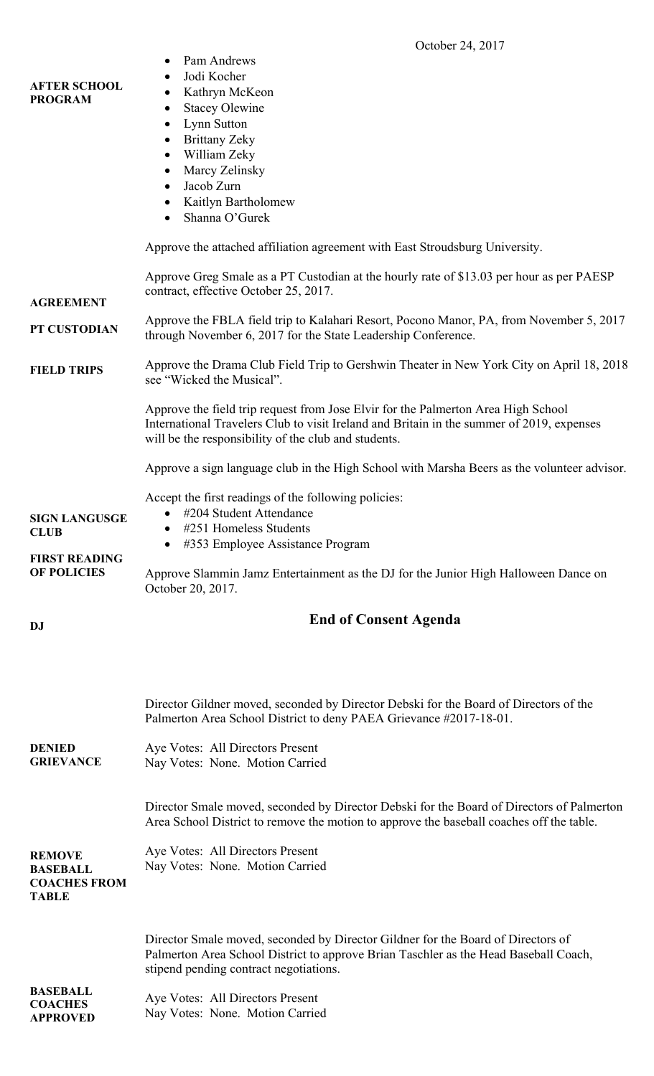|                                            | October 24, 2017                                                                                                                                                                                                                       |  |  |  |
|--------------------------------------------|----------------------------------------------------------------------------------------------------------------------------------------------------------------------------------------------------------------------------------------|--|--|--|
| <b>AFTER SCHOOL</b><br><b>PROGRAM</b>      | Pam Andrews<br>Jodi Kocher<br>Kathryn McKeon<br>٠<br><b>Stacey Olewine</b><br>٠                                                                                                                                                        |  |  |  |
|                                            | Lynn Sutton<br>٠                                                                                                                                                                                                                       |  |  |  |
|                                            | <b>Brittany Zeky</b><br>$\bullet$                                                                                                                                                                                                      |  |  |  |
|                                            | William Zeky<br>٠                                                                                                                                                                                                                      |  |  |  |
|                                            | Marcy Zelinsky<br>$\bullet$                                                                                                                                                                                                            |  |  |  |
|                                            | Jacob Zurn                                                                                                                                                                                                                             |  |  |  |
|                                            | Kaitlyn Bartholomew<br>$\bullet$                                                                                                                                                                                                       |  |  |  |
|                                            | Shanna O'Gurek                                                                                                                                                                                                                         |  |  |  |
|                                            | Approve the attached affiliation agreement with East Stroudsburg University.                                                                                                                                                           |  |  |  |
| <b>AGREEMENT</b>                           | Approve Greg Smale as a PT Custodian at the hourly rate of \$13.03 per hour as per PAESP<br>contract, effective October 25, 2017.                                                                                                      |  |  |  |
| PT CUSTODIAN                               | Approve the FBLA field trip to Kalahari Resort, Pocono Manor, PA, from November 5, 2017<br>through November 6, 2017 for the State Leadership Conference.                                                                               |  |  |  |
| <b>FIELD TRIPS</b>                         | Approve the Drama Club Field Trip to Gershwin Theater in New York City on April 18, 2018<br>see "Wicked the Musical".                                                                                                                  |  |  |  |
|                                            | Approve the field trip request from Jose Elvir for the Palmerton Area High School<br>International Travelers Club to visit Ireland and Britain in the summer of 2019, expenses<br>will be the responsibility of the club and students. |  |  |  |
|                                            | Approve a sign language club in the High School with Marsha Beers as the volunteer advisor.                                                                                                                                            |  |  |  |
|                                            | Accept the first readings of the following policies:                                                                                                                                                                                   |  |  |  |
| <b>SIGN LANGUSGE</b>                       | #204 Student Attendance                                                                                                                                                                                                                |  |  |  |
| <b>CLUB</b>                                | #251 Homeless Students                                                                                                                                                                                                                 |  |  |  |
|                                            | #353 Employee Assistance Program                                                                                                                                                                                                       |  |  |  |
| <b>FIRST READING</b><br><b>OF POLICIES</b> | Approve Slammin Jamz Entertainment as the DJ for the Junior High Halloween Dance on<br>October 20, 2017.                                                                                                                               |  |  |  |
| <b>DJ</b>                                  | <b>End of Consent Agenda</b>                                                                                                                                                                                                           |  |  |  |
|                                            |                                                                                                                                                                                                                                        |  |  |  |
|                                            | Director Gildner moved, seconded by Director Debski for the Board of Directors of the<br>Palmerton Area School District to deny PAEA Grievance #2017-18-01.                                                                            |  |  |  |
| <b>DENIED</b><br><b>GRIEVANCE</b>          | Aye Votes: All Directors Present<br>Nay Votes: None. Motion Carried                                                                                                                                                                    |  |  |  |
|                                            | Director Smale moved, seconded by Director Debski for the Board of Directors of Palmerton<br>Area School District to remove the motion to approve the baseball coaches off the table.                                                  |  |  |  |

| <b>REMOVE</b>       |  | Aye Votes: All Directors Present |
|---------------------|--|----------------------------------|
| <b>BASEBALL</b>     |  | Nay Votes: None. Motion Carried  |
| <b>COACHES FROM</b> |  |                                  |
| TABLE               |  |                                  |

Director Smale moved, seconded by Director Gildner for the Board of Directors of Palmerton Area School District to approve Brian Taschler as the Head Baseball Coach, stipend pending contract negotiations.

| <b>BASEBALL</b><br><b>COACHES</b> | Aye Votes: All Directors Present |
|-----------------------------------|----------------------------------|
| <b>APPROVED</b>                   | Nay Votes: None. Motion Carried  |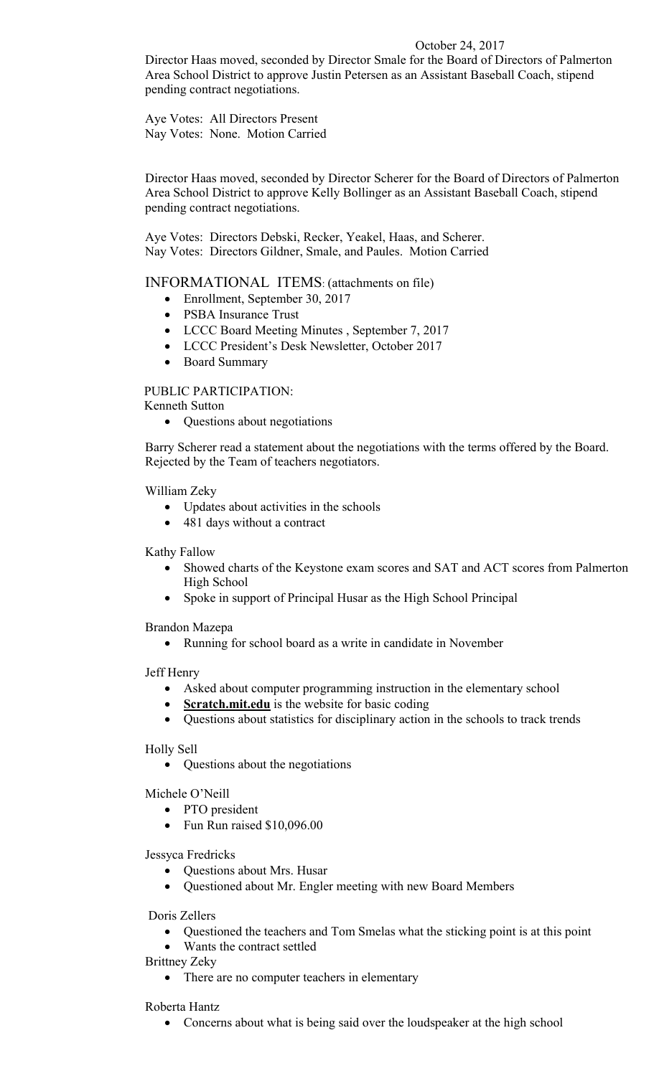# October 24, 2017

Director Haas moved, seconded by Director Smale for the Board of Directors of Palmerton Area School District to approve Justin Petersen as an Assistant Baseball Coach, stipend pending contract negotiations.

Aye Votes: All Directors Present Nay Votes: None. Motion Carried

Director Haas moved, seconded by Director Scherer for the Board of Directors of Palmerton Area School District to approve Kelly Bollinger as an Assistant Baseball Coach, stipend pending contract negotiations.

Aye Votes: Directors Debski, Recker, Yeakel, Haas, and Scherer. Nay Votes: Directors Gildner, Smale, and Paules. Motion Carried

INFORMATIONAL ITEMS: (attachments on file)

- Enrollment, September 30, 2017
- PSBA Insurance Trust
- LCCC Board Meeting Minutes , September 7, 2017
- LCCC President's Desk Newsletter, October 2017
- Board Summary

PUBLIC PARTICIPATION:

Kenneth Sutton

• Questions about negotiations

Barry Scherer read a statement about the negotiations with the terms offered by the Board. Rejected by the Team of teachers negotiators.

William Zeky

- Updates about activities in the schools
- 481 days without a contract

Kathy Fallow

- Showed charts of the Keystone exam scores and SAT and ACT scores from Palmerton High School
- Spoke in support of Principal Husar as the High School Principal

Brandon Mazepa

Running for school board as a write in candidate in November

Jeff Henry

- Asked about computer programming instruction in the elementary school
- **Scratch.mit.edu** is the website for basic coding
- Questions about statistics for disciplinary action in the schools to track trends

Holly Sell

• Questions about the negotiations

Michele O'Neill

- PTO president
- Fun Run raised \$10,096.00

Jessyca Fredricks

- Questions about Mrs. Husar
- Questioned about Mr. Engler meeting with new Board Members

Doris Zellers

- Questioned the teachers and Tom Smelas what the sticking point is at this point
- Wants the contract settled

Brittney Zeky

• There are no computer teachers in elementary

Roberta Hantz

• Concerns about what is being said over the loudspeaker at the high school